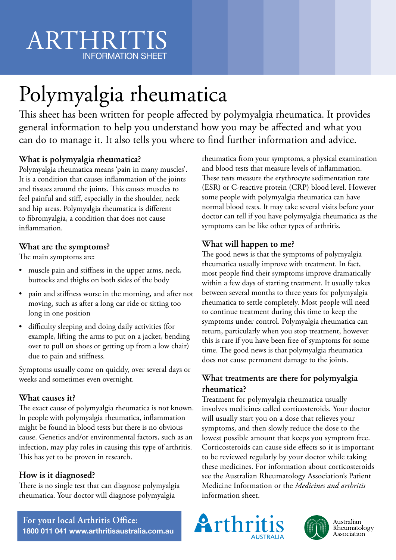# ARTHRITIS INFORMATION SHEET

# Polymyalgia rheumatica

This sheet has been written for people affected by polymyalgia rheumatica. It provides general information to help you understand how you may be affected and what you can do to manage it. It also tells you where to find further information and advice.

## **What is polymyalgia rheumatica?**

Polymyalgia rheumatica means 'pain in many muscles'. It is a condition that causes inflammation of the joints and tissues around the joints. This causes muscles to feel painful and stiff, especially in the shoulder, neck and hip areas. Polymyalgia rheumatica is different to fibromyalgia, a condition that does not cause inflammation.

## **What are the symptoms?**

The main symptoms are:

- muscle pain and stiffness in the upper arms, neck, buttocks and thighs on both sides of the body
- pain and stiffness worse in the morning, and after not moving, such as after a long car ride or sitting too long in one position
- difficulty sleeping and doing daily activities (for example, lifting the arms to put on a jacket, bending over to pull on shoes or getting up from a low chair) due to pain and stiffness.

Symptoms usually come on quickly, over several days or weeks and sometimes even overnight.

### **What causes it?**

The exact cause of polymyalgia rheumatica is not known. In people with polymyalgia rheumatica, inflammation might be found in blood tests but there is no obvious cause. Genetics and/or environmental factors, such as an infection, may play roles in causing this type of arthritis. This has yet to be proven in research.

### **How is it diagnosed?**

There is no single test that can diagnose polymyalgia rheumatica. Your doctor will diagnose polymyalgia

rheumatica from your symptoms, a physical examination and blood tests that measure levels of inflammation. These tests measure the erythrocyte sedimentation rate (ESR) or C-reactive protein (CRP) blood level. However some people with polymyalgia rheumatica can have normal blood tests. It may take several visits before your doctor can tell if you have polymyalgia rheumatica as the symptoms can be like other types of arthritis.

### **What will happen to me?**

The good news is that the symptoms of polymyalgia rheumatica usually improve with treatment. In fact, most people find their symptoms improve dramatically within a few days of starting treatment. It usually takes between several months to three years for polymyalgia rheumatica to settle completely. Most people will need to continue treatment during this time to keep the symptoms under control. Polymyalgia rheumatica can return, particularly when you stop treatment, however this is rare if you have been free of symptoms for some time. The good news is that polymyalgia rheumatica does not cause permanent damage to the joints.

### **What treatments are there for polymyalgia rheumatica?**

Treatment for polymyalgia rheumatica usually involves medicines called corticosteroids. Your doctor will usually start you on a dose that relieves your symptoms, and then slowly reduce the dose to the lowest possible amount that keeps you symptom free. Corticosteroids can cause side effects so it is important to be reviewed regularly by your doctor while taking these medicines. For information about corticosteroids see the Australian Rheumatology Association's Patient Medicine Information or the *Medicines and arthritis* information sheet.

**For your local Arthritis Office: 1800 011 041 www.arthritisaustralia.com.au**





Australian<br>Rheumatology Association